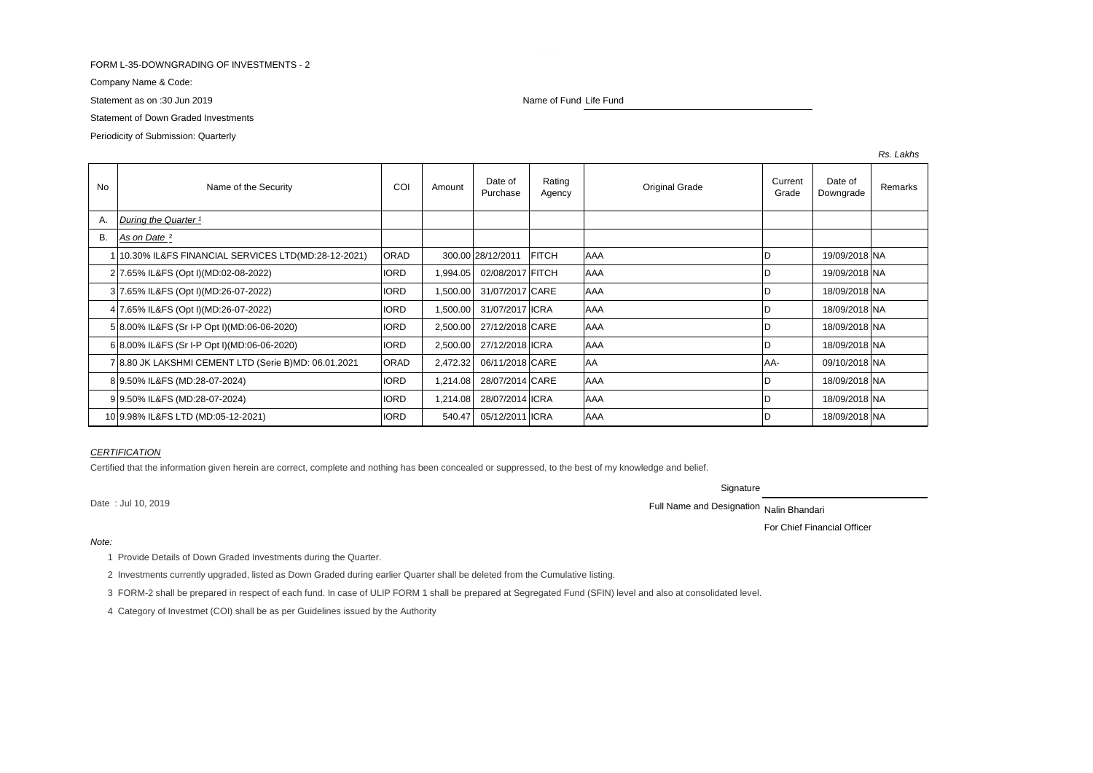### FORM L-35-DOWNGRADING OF INVESTMENTS - 2

Company Name & Code:

Statement as on :30 Jun 2019 Name of Fund Life Fund Life Fund

# Statement of Down Graded Investments

Periodicity of Submission: Quarterly

| No        | Name of the Security                                 | COI         | Amount   | Date of<br>Purchase | Rating<br>Agency | Original Grade | Current<br>Grade | Date of<br>Downgrade | Remarks |
|-----------|------------------------------------------------------|-------------|----------|---------------------|------------------|----------------|------------------|----------------------|---------|
| Α.        | During the Quarter <sup>1</sup>                      |             |          |                     |                  |                |                  |                      |         |
| <b>B.</b> | As on Date <sup>2</sup>                              |             |          |                     |                  |                |                  |                      |         |
|           | 10.30% IL&FS FINANCIAL SERVICES LTD(MD:28-12-2021)   | ORAD        |          | 300.00 28/12/2011   | <b>FITCH</b>     | <b>AAA</b>     | D                | 19/09/2018 NA        |         |
|           | 2 7.65% IL&FS (Opt I)(MD:02-08-2022)                 | <b>IORD</b> | 1,994.05 | 02/08/2017 FITCH    |                  | <b>AAA</b>     | ID               | 19/09/2018 NA        |         |
|           | 3 7.65% IL&FS (Opt I)(MD:26-07-2022)                 | <b>IORD</b> | 1,500.00 | 31/07/2017 CARE     |                  | <b>AAA</b>     | D                | 18/09/2018 NA        |         |
|           | 4 7.65% IL&FS (Opt I)(MD:26-07-2022)                 | <b>IORD</b> | 1,500.00 | 31/07/2017 ICRA     |                  | <b>AAA</b>     | ID               | 18/09/2018 NA        |         |
|           | 5 8.00% IL&FS (Sr I-P Opt I) (MD:06-06-2020)         | <b>IORD</b> | 2,500.00 | 27/12/2018 CARE     |                  | <b>AAA</b>     | D                | 18/09/2018 NA        |         |
|           | 6 8.00% IL&FS (Sr I-P Opt I) (MD:06-06-2020)         | <b>IORD</b> | 2,500.00 | 27/12/2018 ICRA     |                  | <b>AAA</b>     | ID               | 18/09/2018 NA        |         |
|           | 7 8.80 JK LAKSHMI CEMENT LTD (Serie B)MD: 06.01.2021 | ORAD        | 2,472.32 | 06/11/2018 CARE     |                  | AA             | lAA-             | 09/10/2018 NA        |         |
|           | 8 9.50% IL&FS (MD:28-07-2024)                        | <b>IORD</b> | 1,214.08 | 28/07/2014 CARE     |                  | AAA            | ID               | 18/09/2018 NA        |         |
|           | 99.50% IL&FS (MD:28-07-2024)                         | <b>IORD</b> | 1,214.08 | 28/07/2014 ICRA     |                  | AAA            |                  | 18/09/2018 NA        |         |
|           | 10 9.98% IL&FS LTD (MD:05-12-2021)                   | <b>IORD</b> | 540.47   | 05/12/2011 ICRA     |                  | AAA            | ID               | 18/09/2018 NA        |         |

## *CERTIFICATION*

Certified that the information given herein are correct, complete and nothing has been concealed or suppressed, to the best of my knowledge and belief.

Signature

Date : Jul 10, 2019 **Nation 2019 Full Name and Designation Nalin Bhandari Full Name and Designation Nalin Bhandari** 

For Chief Financial Officer

## *Note:*

1 Provide Details of Down Graded Investments during the Quarter.

2 Investments currently upgraded, listed as Down Graded during earlier Quarter shall be deleted from the Cumulative listing.

3 FORM-2 shall be prepared in respect of each fund. In case of ULIP FORM 1 shall be prepared at Segregated Fund (SFIN) level and also at consolidated level.

4 Category of Investmet (COI) shall be as per Guidelines issued by the Authority

*Rs. Lakhs*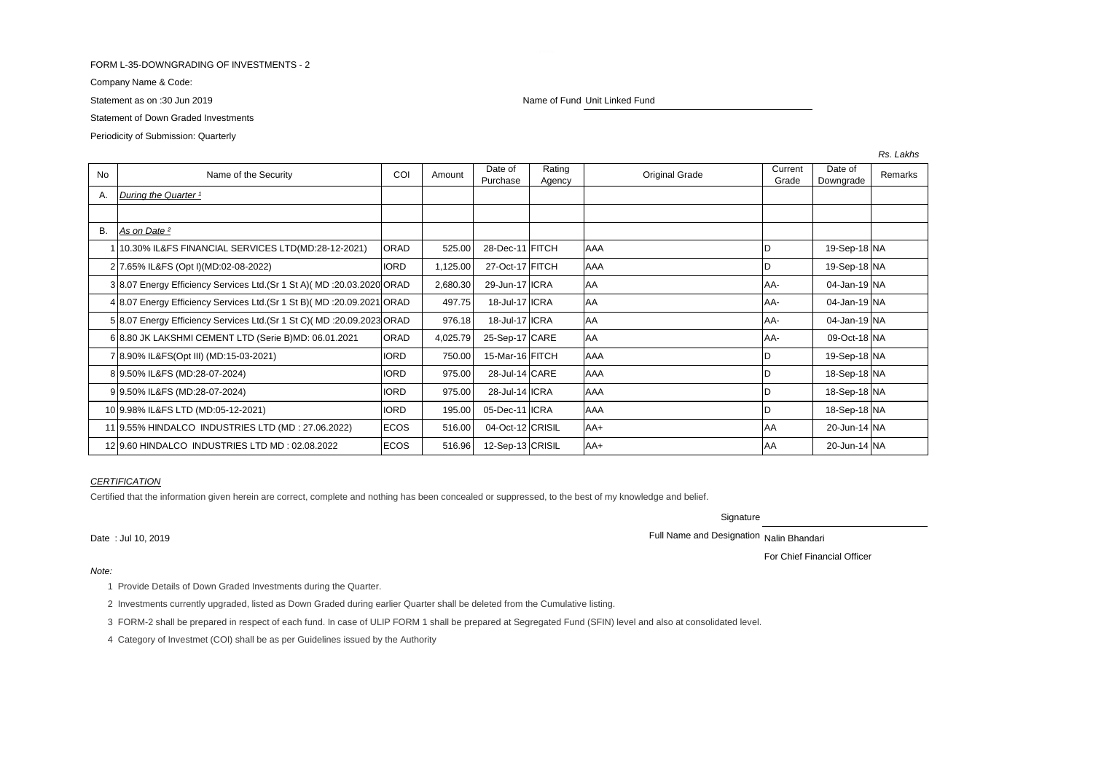#### FORM L-35-DOWNGRADING OF INVESTMENTS - 2

Company Name & Code:

Statement of Down Graded Investments

Periodicity of Submission: Quarterly

No Name of the Security COI Amount Date of Purchase Rating Rating Current<br>Agency Original Grade Current<br>Grade Grade Date of Date of Remarks<br>Downgrade Remarks A. *During the Quarter*<sup>1</sup> B. *As on Date ²* 1 10.30% IL&FS FINANCIAL SERVICES LTD(MD:28-12-2021) ORAD 525.00 28-Dec-11 FITCH AAA D 19-Sep-18 NA 2 7.65% IL&FS (Opt I)(MD:02-08-2022) IORD 1,125.00 27-Oct-17 FITCH AAA D 19-Sep-18 NA 3 8.07 Energy Efficiency Services Ltd.(Sr 1 St A)( MD :20.03.2020 ORAD | 2,680.30 29-Jun-17 | ICRA | AA | AA | AA- | 04-Jan-19 | NA 4 8.07 Energy Efficiency Services Ltd.(Sr 1 St B)( MD :20.09.2021 ORAD 497.75 18-Jul-17 ICRA AA AA AA AA AA AA 5 8.07 Energy Efficiency Services Ltd.(Sr 1 St C)( MD :20.09.2023 ORAD 976.18 18-Jul-17 ICRA AA AA AA AA AA AA 6 8.80 JK LAKSHMI CEMENT LTD (Serie B)MD: 06.01.2021 ORAD | 4.025.79 25-Sep-17 CARE AA AA AA- | 09-Oct-18 NA 7 8.90% IL&FS(Opt III) (MD:15-03-2021) IORD 750.00 15-Mar-16 FITCH AAA D 19-Sep-18 NA 8 9.50% IL&FS (MD:28-07-2024) 28-Jul-14 CARE AAA 18-Sep-18 NA 9 9.50% IL&FS (MD:28-07-2024) 975.00 28-Jul-14 ICRA AAA AAA D IORD 18-Sep-18 INA 10 9.98% IL&FS LTD (MD:05-12-2021) IORD | 195.00 05-Dec-11 ICRA AAA AA D ID | 18-Sep-18 NA 11 9.55% HINDALCO INDUSTRIES LTD (MD : 27.06.2022) ECOS  $\begin{bmatrix} 516.00 & 04-0 \text{ct-12} \text{CRISIL} & \text{AA+} & \text{AA+} \end{bmatrix}$   $\begin{bmatrix} 20-1 \text{u} & 20-1 \text{u} & 4 \text{N} \end{bmatrix}$ 12 9.60 HINDALCO INDUSTRIES LTD MD : 02.08.2022 ECOS FROM STARBE 12-Sep-13 CRISIL AA+ AA 4 AA 20-Jun-14 NA

### *CERTIFICATION*

Certified that the information given herein are correct, complete and nothing has been concealed or suppressed, to the best of my knowledge and belief.

**Signature** 

Date : Jul 10, 2019 2019

For Chief Financial Officer

1 Provide Details of Down Graded Investments during the Quarter.

2 Investments currently upgraded, listed as Down Graded during earlier Quarter shall be deleted from the Cumulative listing.

3 FORM-2 shall be prepared in respect of each fund. In case of ULIP FORM 1 shall be prepared at Segregated Fund (SFIN) level and also at consolidated level.

4 Category of Investmet (COI) shall be as per Guidelines issued by the Authority

Statement as on :30 Jun 2019 Name of Fund Unit Linked Fund Unit Linked Fund

*Rs. Lakhs*

*Note:*